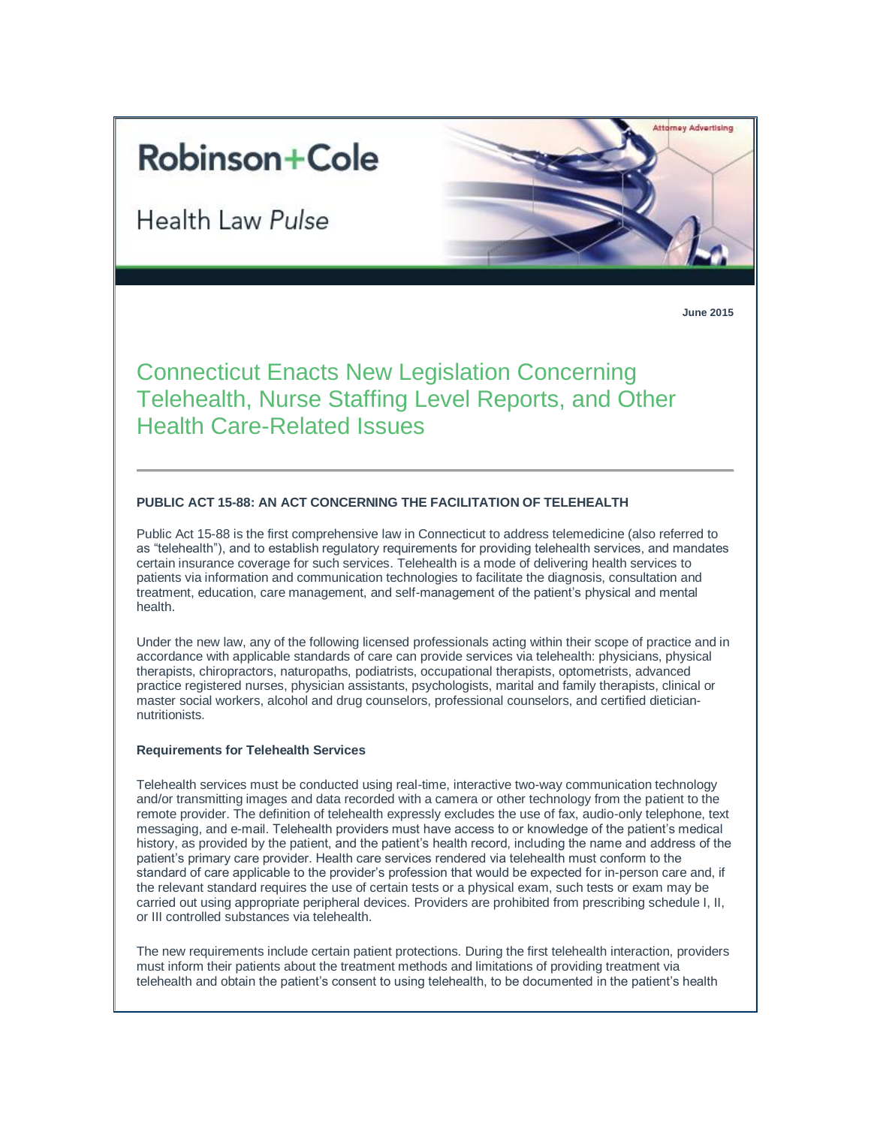# **Robinson+Cole**

Health Law Pulse



**June 2015**

Connecticut Enacts New Legislation Concerning Telehealth, Nurse Staffing Level Reports, and Other Health Care-Related Issues

# **PUBLIC ACT 15-88: AN ACT CONCERNING THE FACILITATION OF TELEHEALTH**

Public Act 15-88 is the first comprehensive law in Connecticut to address telemedicine (also referred to as "telehealth"), and to establish regulatory requirements for providing telehealth services, and mandates certain insurance coverage for such services. Telehealth is a mode of delivering health services to patients via information and communication technologies to facilitate the diagnosis, consultation and treatment, education, care management, and self-management of the patient's physical and mental health.

Under the new law, any of the following licensed professionals acting within their scope of practice and in accordance with applicable standards of care can provide services via telehealth: physicians, physical therapists, chiropractors, naturopaths, podiatrists, occupational therapists, optometrists, advanced practice registered nurses, physician assistants, psychologists, marital and family therapists, clinical or master social workers, alcohol and drug counselors, professional counselors, and certified dieticiannutritionists.

### **Requirements for Telehealth Services**

Telehealth services must be conducted using real-time, interactive two-way communication technology and/or transmitting images and data recorded with a camera or other technology from the patient to the remote provider. The definition of telehealth expressly excludes the use of fax, audio-only telephone, text messaging, and e-mail. Telehealth providers must have access to or knowledge of the patient's medical history, as provided by the patient, and the patient's health record, including the name and address of the patient's primary care provider. Health care services rendered via telehealth must conform to the standard of care applicable to the provider's profession that would be expected for in-person care and, if the relevant standard requires the use of certain tests or a physical exam, such tests or exam may be carried out using appropriate peripheral devices. Providers are prohibited from prescribing schedule I, II, or III controlled substances via telehealth.

The new requirements include certain patient protections. During the first telehealth interaction, providers must inform their patients about the treatment methods and limitations of providing treatment via telehealth and obtain the patient's consent to using telehealth, to be documented in the patient's health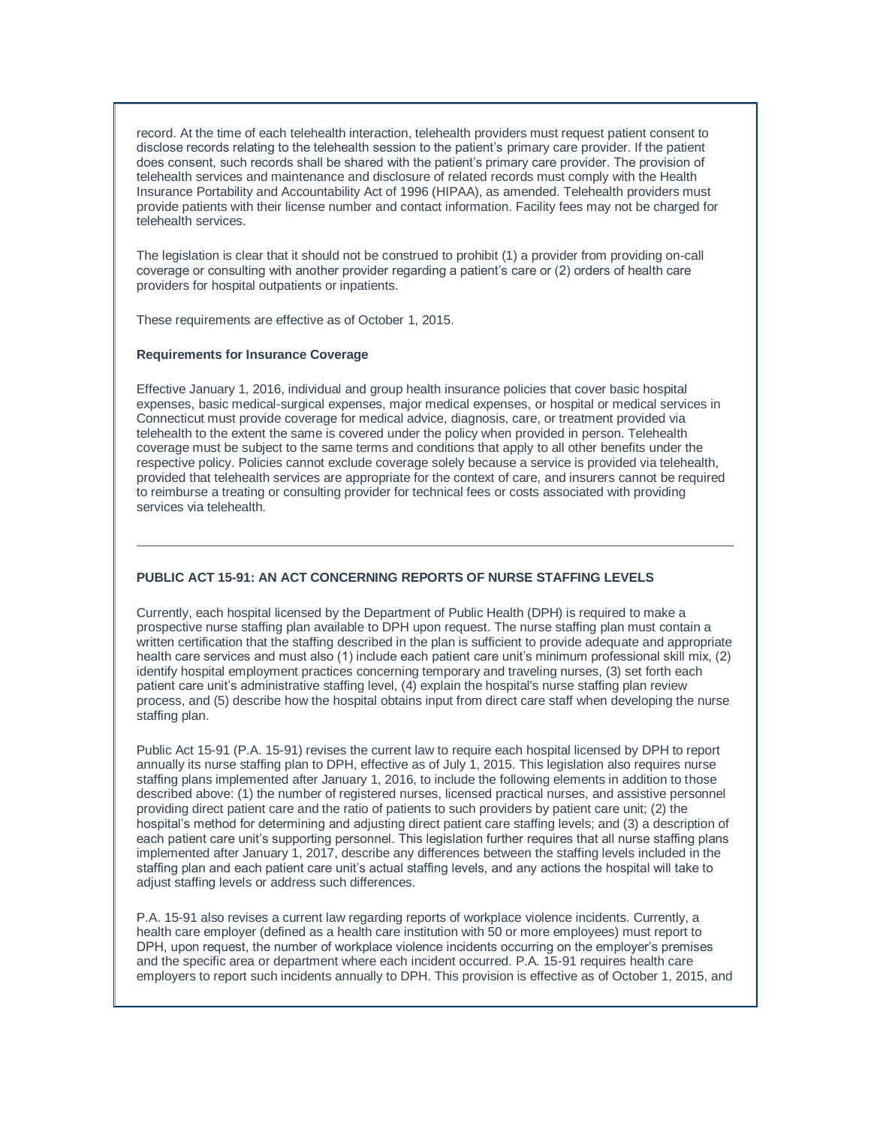record. At the time of each telehealth interaction, telehealth providers must request patient consent to disclose records relating to the telehealth session to the patient's primary care provider. If the patient does consent, such records shall be shared with the patient's primary care provider. The provision of telehealth services and maintenance and disclosure of related records must comply with the Health Insurance Portability and Accountability Act of 1996 (HIPAA), as amended. Telehealth providers must provide patients with their license number and contact information. Facility fees may not be charged for telehealth services.

The legislation is clear that it should not be construed to prohibit (1) a provider from providing on-call coverage or consulting with another provider regarding a patient's care or (2) orders of health care providers for hospital outpatients or inpatients.

These requirements are effective as of October 1, 2015.

#### **Requirements for Insurance Coverage**

Effective January 1, 2016, individual and group health insurance policies that cover basic hospital expenses, basic medical-surgical expenses, major medical expenses, or hospital or medical services in Connecticut must provide coverage for medical advice, diagnosis, care, or treatment provided via telehealth to the extent the same is covered under the policy when provided in person. Telehealth coverage must be subject to the same terms and conditions that apply to all other benefits under the respective policy. Policies cannot exclude coverage solely because a service is provided via telehealth, provided that telehealth services are appropriate for the context of care, and insurers cannot be required to reimburse a treating or consulting provider for technical fees or costs associated with providing services via telehealth.

## **PUBLIC ACT 15-91: AN ACT CONCERNING REPORTS OF NURSE STAFFING LEVELS**

Currently, each hospital licensed by the Department of Public Health (DPH) is required to make a prospective nurse staffing plan available to DPH upon request. The nurse staffing plan must contain a written certification that the staffing described in the plan is sufficient to provide adequate and appropriate health care services and must also (1) include each patient care unit's minimum professional skill mix, (2) identify hospital employment practices concerning temporary and traveling nurses, (3) set forth each patient care unit's administrative staffing level, (4) explain the hospital's nurse staffing plan review process, and (5) describe how the hospital obtains input from direct care staff when developing the nurse staffing plan.

Public Act 15-91 (P.A. 15-91) revises the current law to require each hospital licensed by DPH to report annually its nurse staffing plan to DPH, effective as of July 1, 2015. This legislation also requires nurse staffing plans implemented after January 1, 2016, to include the following elements in addition to those described above: (1) the number of registered nurses, licensed practical nurses, and assistive personnel providing direct patient care and the ratio of patients to such providers by patient care unit; (2) the hospital's method for determining and adjusting direct patient care staffing levels; and (3) a description of each patient care unit's supporting personnel. This legislation further requires that all nurse staffing plans implemented after January 1, 2017, describe any differences between the staffing levels included in the staffing plan and each patient care unit's actual staffing levels, and any actions the hospital will take to adiust staffing levels or address such differences.

P.A. 15-91 also revises a current law regarding reports of workplace violence incidents. Currently, a health care employer (defined as a health care institution with 50 or more employees) must report to DPH, upon request, the number of workplace violence incidents occurring on the employer's premises and the specific area or department where each incident occurred. P.A. 15-91 requires health care employers to report such incidents annually to DPH. This provision is effective as of October 1, 2015, and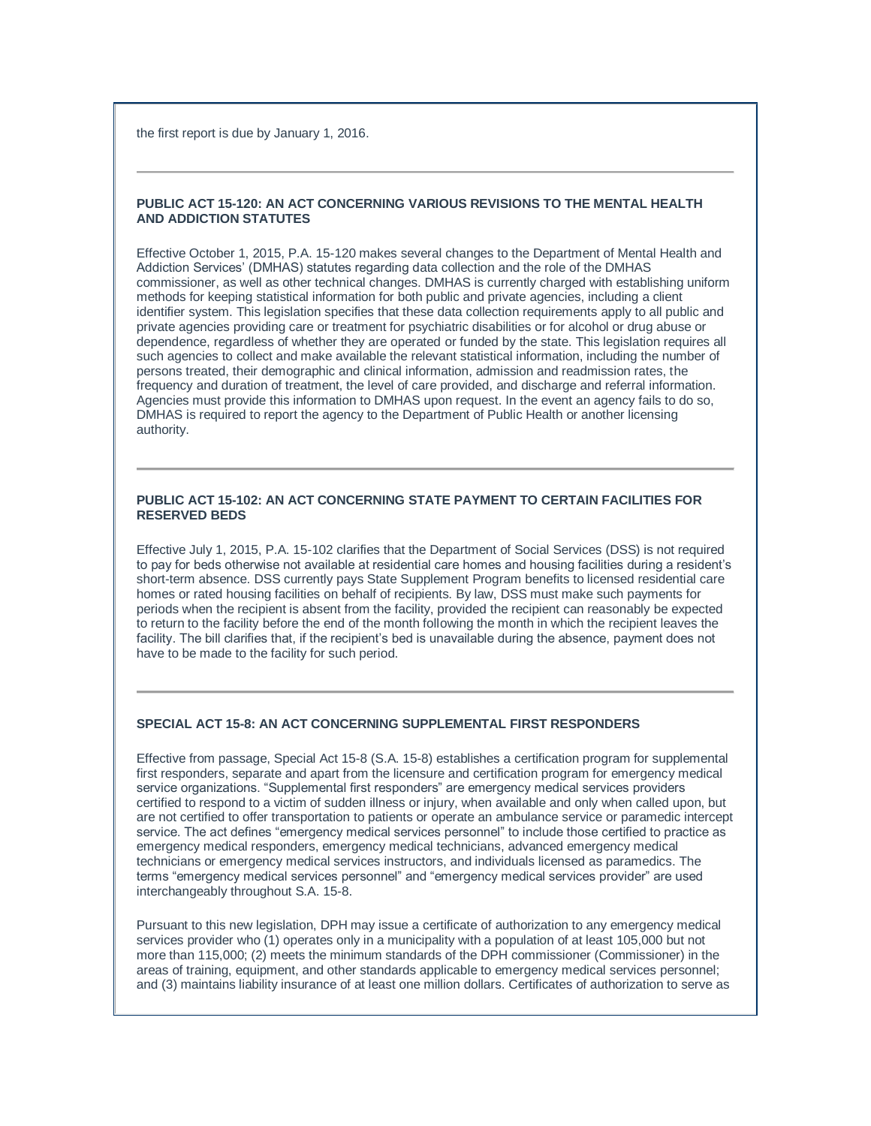the first report is due by January 1, 2016.

## **PUBLIC ACT 15-120: AN ACT CONCERNING VARIOUS REVISIONS TO THE MENTAL HEALTH AND ADDICTION STATUTES**

Effective October 1, 2015, P.A. 15-120 makes several changes to the Department of Mental Health and Addiction Services' (DMHAS) statutes regarding data collection and the role of the DMHAS commissioner, as well as other technical changes. DMHAS is currently charged with establishing uniform methods for keeping statistical information for both public and private agencies, including a client identifier system. This legislation specifies that these data collection requirements apply to all public and private agencies providing care or treatment for psychiatric disabilities or for alcohol or drug abuse or dependence, regardless of whether they are operated or funded by the state. This legislation requires all such agencies to collect and make available the relevant statistical information, including the number of persons treated, their demographic and clinical information, admission and readmission rates, the frequency and duration of treatment, the level of care provided, and discharge and referral information. Agencies must provide this information to DMHAS upon request. In the event an agency fails to do so, DMHAS is required to report the agency to the Department of Public Health or another licensing authority.

## **PUBLIC ACT 15-102: AN ACT CONCERNING STATE PAYMENT TO CERTAIN FACILITIES FOR RESERVED BEDS**

Effective July 1, 2015, P.A. 15-102 clarifies that the Department of Social Services (DSS) is not required to pay for beds otherwise not available at residential care homes and housing facilities during a resident's short-term absence. DSS currently pays State Supplement Program benefits to licensed residential care homes or rated housing facilities on behalf of recipients. By law, DSS must make such payments for periods when the recipient is absent from the facility, provided the recipient can reasonably be expected to return to the facility before the end of the month following the month in which the recipient leaves the facility. The bill clarifies that, if the recipient's bed is unavailable during the absence, payment does not have to be made to the facility for such period.

#### **SPECIAL ACT 15-8: AN ACT CONCERNING SUPPLEMENTAL FIRST RESPONDERS**

Effective from passage, Special Act 15-8 (S.A. 15-8) establishes a certification program for supplemental first responders, separate and apart from the licensure and certification program for emergency medical service organizations. "Supplemental first responders" are emergency medical services providers certified to respond to a victim of sudden illness or injury, when available and only when called upon, but are not certified to offer transportation to patients or operate an ambulance service or paramedic intercept service. The act defines "emergency medical services personnel" to include those certified to practice as emergency medical responders, emergency medical technicians, advanced emergency medical technicians or emergency medical services instructors, and individuals licensed as paramedics. The terms "emergency medical services personnel" and "emergency medical services provider" are used interchangeably throughout S.A. 15-8.

Pursuant to this new legislation, DPH may issue a certificate of authorization to any emergency medical services provider who (1) operates only in a municipality with a population of at least 105,000 but not more than 115,000; (2) meets the minimum standards of the DPH commissioner (Commissioner) in the areas of training, equipment, and other standards applicable to emergency medical services personnel; and (3) maintains liability insurance of at least one million dollars. Certificates of authorization to serve as